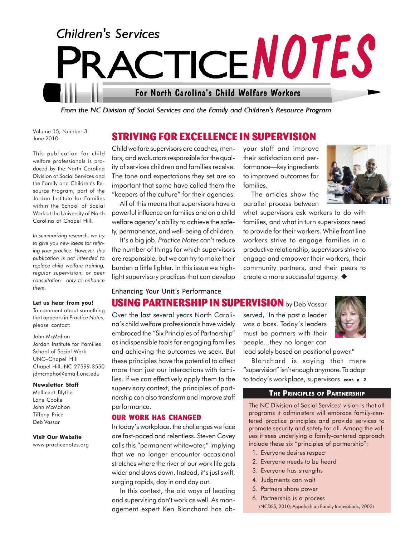

**STRIVING FOR EXCELLENCE IN SUPERVISION**

From the NC Division of Social Services and the Family and Children's Resource Program

Volume 15, Number 3 June 2010

This publication for child welfare professionals is produced by the North Carolina Division of Social Services and the Family and Children's Resource Program, part of the Jordan Institute for Families within the School of Social Work at the University of North Carolina at Chapel Hill.

*In summarizing research, we try to give you new ideas for refining your practice. However, this publication is not intended to replace child welfare training, regular supervision, or peer consultation—only to enhance them.*

#### **Let us hear from you!**

To comment about something that appears in *Practice Notes*, please contact:

John McMahon Jordan Institute for Families School of Social Work UNC–Chapel Hill Chapel Hill, NC 27599-3550 jdmcmaho@email.unc.edu

#### **Newsletter Staff**

Mellicent Blythe Lane Cooke John McMahon Tiffany Price Deb Vassar

#### **Visit Our Website**

www.practicenotes.org

Child welfare supervisors are coaches, mentors, and evaluators responsible for the quality of services children and families receive. The tone and expectations they set are so important that some have called them the "keepers of the culture" for their agencies.

All of this means that supervisors have a powerful influence on families and on a child welfare agency's ability to achieve the safety, permanence, and well-being of children.

It's a big job. *Practice Notes* can't reduce the number of things for which supervisors are responsible, but we can try to make their burden a little lighter. In this issue we highlight supervisory practices that can develop

## Enhancing Your Unit's Performance

your staff and improve their satisfaction and performance—key ingredients to improved outcomes for families.

The articles show the parallel process between



what supervisors ask workers to do with families, and what in turn supervisors need to provide for their workers. While front line workers strive to engage families in a productive relationship, supervisors strive to engage and empower their workers, their community partners, and their peers to create a more successful agency.

# **USING PARTNERSHIP IN SUPERVISION** by Deb Vassar

Over the last several years North Carolina's child welfare professionals have widely embraced the "Six Principles of Partnership" as indispensible tools for engaging families and achieving the outcomes we seek. But these principles have the potential to affect more than just our interactions with families. If we can effectively apply them to the supervisory context, the principles of partnership can also transform and improve staff performance.

#### **OUR WORK HAS CHANGED**

In today's workplace, the challenges we face are fast-paced and relentless. Steven Covey calls this "permanent whitewater," implying that we no longer encounter occasional stretches where the river of our work life gets wider and slows down. Instead, it's just swift, surging rapids, day in and day out.

In this context, the old ways of leading and supervising don't work as well. As management expert Ken Blanchard has observed, "In the past a leader was a boss. Today's leaders must be partners with their people...they no longer can



lead solely based on positional power."

Blanchard is saying that mere "supervision" isn't enough anymore. To adapt to today's workplace, supervisors *cont. p. 2*

## **THE PRINCIPLES OF PARTNERSHIP**

The NC Division of Social Services' vision is that all programs it administers will embrace family-centered practice principles and provide services to promote security and safety for all. Among the values it sees underlying a family-centered approach include these six "principles of partnership":

- 1. Everyone desires respect
- 2. Everyone needs to be heard
- 3. Everyone has strengths
- 4. Judgments can wait
- 5. Partners share power
- 6. Partnership is a process (NCDSS, 2010; Appalachian Family Innovations, 2003)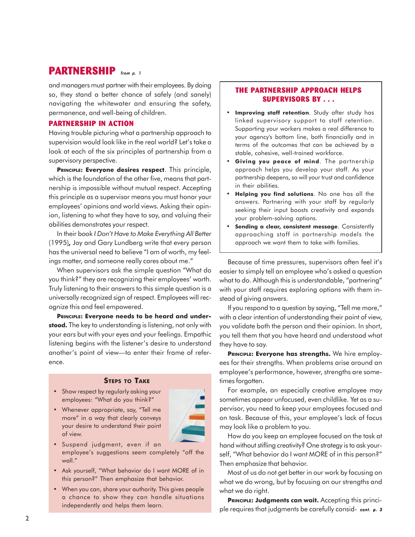# **PARTNERSHIP** *from p. 1*

and managers must partner with their employees. By doing so, they stand a better chance of safely (and sanely) navigating the whitewater and ensuring the safety, permanence, and well-being of children.

## **PARTNERSHIP IN ACTION**

Having trouble picturing what a partnership approach to supervision would look like in the real world? Let's take a look at each of the six principles of partnership from a supervisory perspective.

**PRINCIPLE: Everyone desires respect**. This principle, which is the foundation of the other five, means that partnership is impossible without mutual respect. Accepting this principle as a supervisor means you must honor your employees' opinions and world views. Asking their opinion, listening to what they have to say, and valuing their abilities demonstrates your respect.

In their book *I Don't Have to Make Everything All Better* (1995)*,* Joy and Gary Lundberg write that every person has the universal need to believe "I am of worth, my feelings matter, and someone really cares about me."

When supervisors ask the simple question "What do you think?" they are recognizing their employees' worth. Truly listening to their answers to this simple question is a universally recognized sign of respect. Employees will recognize this and feel empowered.

**PRINCIPLE: Everyone needs to be heard and understood.** The key to understanding is listening, not only with your ears but with your eyes and your feelings. Empathic listening begins with the listener's desire to understand another's point of view—to enter their frame of reference.

## **STEPS TO TAKE**

- Show respect by regularly asking your employees: "What do you think?"
- Whenever appropriate, say, "Tell me more" in a way that clearly conveys your desire to understand their point of view.



- Suspend judgment, even if an employee's suggestions seem completely "off the wall."
- Ask yourself, "What behavior do I want MORE of in this person?" Then emphasize that behavior.
- When you can, share your authority. This gives people a chance to show they can handle situations

## **THE PARTNERSHIP APPROACH HELPS SUPERVISORS BY . . .**

- Improving staff retention. Study after study has linked supervisory support to staff retention. Supporting your workers makes a real difference to your agency's bottom line, both financially and in terms of the outcomes that can be achieved by a stable, cohesive, well-trained workforce.
- **Giving you peace of mind**. The partnership approach helps you develop your staff. As your partnership deepens, so will your trust and confidence in their abilities.
- **Helping you find solutions**. No one has all the answers. Partnering with your staff by regularly seeking their input boosts creativity and expands your problem-solving options.
- **Sending a clear, consistent message**. Consistently approaching staff in partnership models the approach we want them to take with families.

Because of time pressures, supervisors often feel it's easier to simply tell an employee who's asked a question what to do. Although this is understandable, "partnering" with your staff requires exploring options with them instead of giving answers.

If you respond to a question by saying, "Tell me more," with a clear intention of understanding their point of view, you validate both the person and their opinion. In short, you tell them that you have heard and understood what they have to say.

**PRINCIPLE: Everyone has strengths.** We hire employees for their strengths. When problems arise around an employee's performance, however, strengths are sometimes forgotten.

For example, an especially creative employee may sometimes appear unfocused, even childlike. Yet as a supervisor, you need to keep your employees focused and on task. Because of this, your employee's lack of focus may look like a problem to you.

How do you keep an employee focused on the task at hand without stifling creativity? One strategy is to ask yourself, "What behavior do I want MORE of in this person?" Then emphasize that behavior.

Most of us do not get better in our work by focusing on what we do wrong, but by focusing on our strengths and what we do right.

PRINCIPLE: Judgments can wait. Accepting this principle requires that judgments be carefully consid-independently and helps them learn. *cont. p. 3*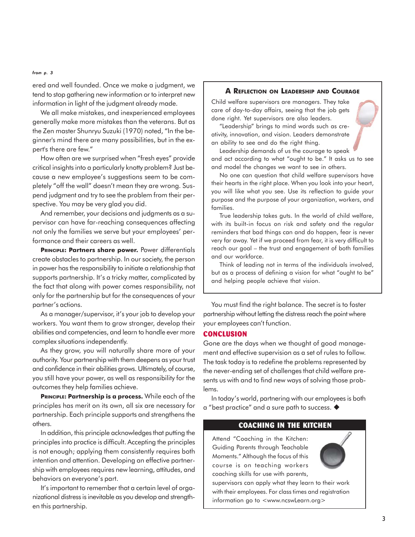#### *from p. 3*

ered and well founded. Once we make a judgment, we tend to stop gathering new information or to interpret new information in light of the judgment already made.

We all make mistakes, and inexperienced employees generally make more mistakes than the veterans. But as the Zen master Shunryu Suzuki (1970) noted, "In the beginner's mind there are many possibilities, but in the expert's there are few."

How often are we surprised when "fresh eyes" provide critical insights into a particularly knotty problem? Just because a new employee's suggestions seem to be completely "off the wall" doesn't mean they are wrong. Suspend judgment and try to see the problem from their perspective. You may be very glad you did.

And remember, your decisions and judgments as a supervisor can have far-reaching consequences affecting not only the families we serve but your employees' performance and their careers as well.

PRINCIPLE: Partners share power. Power differentials create obstacles to partnership. In our society, the person in power has the responsibility to initiate a relationship that supports partnership. It's a tricky matter, complicated by the fact that along with power comes responsibility, not only for the partnership but for the consequences of your partner's actions.

As a manager/supervisor, it's your job to develop your workers. You want them to grow stronger, develop their abilities and competencies, and learn to handle ever more complex situations independently.

As they grow, you will naturally share more of your authority. Your partnership with them deepens as your trust and confidence in their abilities grows. Ultimately, of course, you still have your power, as well as responsibility for the outcomes they help families achieve.

**PRINCIPLE: Partnership is a process.** While each of the principles has merit on its own, all six are necessary for partnership. Each principle supports and strengthens the others.

In addition, this principle acknowledges that putting the principles into practice is difficult. Accepting the principles is not enough; applying them consistently requires both intention and attention. Developing an effective partnership with employees requires new learning, attitudes, and behaviors on everyone's part.

It's important to remember that a certain level of organizational distress is inevitable as you develop and strengthen this partnership.

#### **A REFLECTION ON LEADERSHIP AND COURAGE**

Child welfare supervisors are managers. They take care of day-to-day affairs, seeing that the job gets done right. Yet supervisors are also leaders.

"Leadership" brings to mind words such as creativity, innovation, and vision. Leaders demonstrate an ability to see and do the right thing.

Leadership demands of us the courage to speak and act according to what "ought to be." It asks us to see and model the changes we want to see in others.

No one can question that child welfare supervisors have their hearts in the right place. When you look into your heart, you will like what you see. Use its reflection to guide your purpose and the purpose of your organization, workers, and families.

True leadership takes guts. In the world of child welfare, with its built-in focus on risk and safety and the regular reminders that bad things can and do happen, fear is never very far away. Yet if we proceed from fear, it is very difficult to reach our goal – the trust and engagement of both families and our workforce.

Think of leading not in terms of the individuals involved, but as a process of defining a vision for what "ought to be" and helping people achieve that vision.

You must find the right balance. The secret is to foster partnership without letting the distress reach the point where your employees can't function.

## **CONCLUSION**

Gone are the days when we thought of good management and effective supervision as a set of rules to follow. The task today is to redefine the problems represented by the never-ending set of challenges that child welfare presents us with and to find new ways of solving those problems.

In today's world, partnering with our employees is both a "best practice" and a sure path to success.

### **COACHING IN THE KITCHEN**

Attend "Coaching in the Kitchen: Guiding Parents through Teachable Moments." Although the focus of this course is on teaching workers coaching skills for use with parents,



supervisors can apply what they learn to their work with their employees. For class times and registration information go to <www.ncswLearn.org>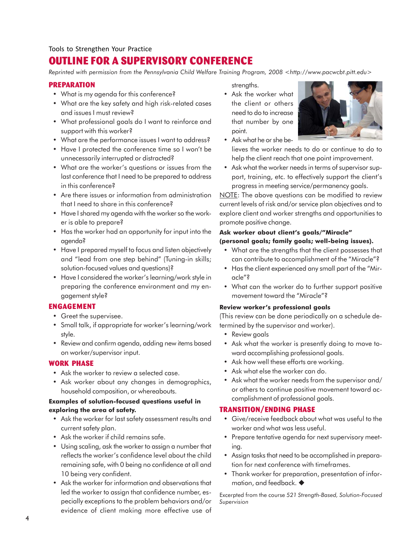# **OUTLINE FOR A SUPERVISORY CONFERENCE**

*Reprinted with permission from the Pennsylvania Child Welfare Training Program, 2008 <http://www.pacwcbt.pitt.edu>*

### **PREPARATION**

- What is my agenda for this conference?
- What are the key safety and high risk-related cases and issues I must review?
- What professional goals do I want to reinforce and support with this worker?
- What are the performance issues I want to address?
- Have I protected the conference time so I won't be unnecessarily interrupted or distracted?
- What are the worker's questions or issues from the last conference that I need to be prepared to address in this conference?
- Are there issues or information from administration that I need to share in this conference?
- Have I shared my agenda with the worker so the worker is able to prepare?
- Has the worker had an opportunity for input into the agenda?
- Have I prepared myself to focus and listen objectively and "lead from one step behind" (Tuning-in skills; solution-focused values and questions)?
- Have I considered the worker's learning/work style in preparing the conference environment and my engagement style?

## **ENGAGEMENT**

- Greet the supervisee.
- Small talk, if appropriate for worker's learning/work style.
- Review and confirm agenda, adding new items based on worker/supervisor input.

### **WORK PHASE**

- Ask the worker to review a selected case.
- Ask worker about any changes in demographics, household composition, or whereabouts.

### **Examples of solution-focused questions useful in exploring the area of safety.**

- Ask the worker for last safety assessment results and current safety plan.
- Ask the worker if child remains safe.
- Using scaling, ask the worker to assign a number that reflects the worker's confidence level about the child remaining safe, with 0 being no confidence at all and 10 being very confident.
- Ask the worker for information and observations that led the worker to assign that confidence number, especially exceptions to the problem behaviors and/or evidence of client making more effective use of

strengths.

• Ask the worker what the client or others need to do to increase that number by one point.



- Ask what he or she believes the worker needs to do or continue to do to help the client reach that one point improvement.
- Ask what the worker needs in terms of supervisor support, training, etc. to effectively support the client's progress in meeting service/permanency goals.

NOTE: The above questions can be modified to review current levels of risk and/or service plan objectives and to explore client and worker strengths and opportunities to promote positive change.

## **Ask worker about client's goals/"Miracle" (personal goals; family goals; well-being issues).**

- What are the strengths that the client possesses that can contribute to accomplishment of the "Miracle"?
- Has the client experienced any small part of the "Miracle"?
- What can the worker do to further support positive movement toward the "Miracle"?

### **Review worker's professional goals**

(This review can be done periodically on a schedule determined by the supervisor and worker).

- Review goals
- Ask what the worker is presently doing to move toward accomplishing professional goals.
- Ask how well these efforts are working.
- Ask what else the worker can do.
- Ask what the worker needs from the supervisor and/ or others to continue positive movement toward accomplishment of professional goals.

### **TRANSITION/ENDING PHASE**

- Give/receive feedback about what was useful to the worker and what was less useful.
- Prepare tentative agenda for next supervisory meeting.
- Assign tasks that need to be accomplished in preparation for next conference with timeframes.
- Thank worker for preparation, presentation of information, and feedback.

Excerpted from the course *521 Strength-Based, Solution-Focused Supervision*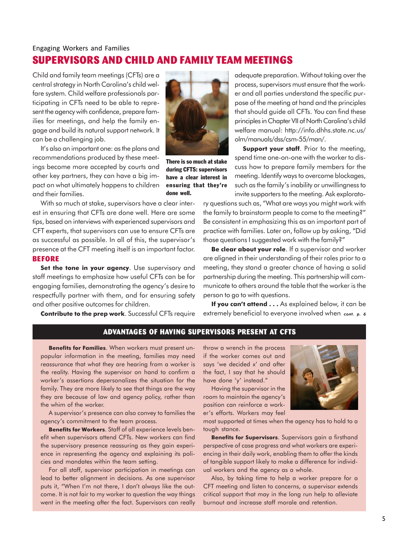# **SUPERVISORS AND CHILD AND FAMILY TEAM MEETINGS** Engaging Workers and Families

Child and family team meetings (CFTs) are a central strategy in North Carolina's child welfare system. Child welfare professionals participating in CFTs need to be able to represent the agency with confidence, prepare families for meetings, and help the family engage and build its natural support network. It can be a challenging job.

It's also an important one: as the plans and recommendations produced by these meetings become more accepted by courts and other key partners, they can have a big impact on what ultimately happens to children and their families.

With so much at stake, supervisors have a clear interest in ensuring that CFTs are done well. Here are some tips, based on interviews with experienced supervisors and CFT experts, that supervisors can use to ensure CFTs are as successful as possible. In all of this, the supervisor's presence at the CFT meeting itself is an important factor. **BEFORE**

**Set the tone in your agency**. Use supervisory and staff meetings to emphasize how useful CFTs can be for engaging families, demonstrating the agency's desire to respectfully partner with them, and for ensuring safety and other positive outcomes for children.

**Contribute to the prep work**. Successful CFTs require



There is so much at stake during CFTS: supervisors have a clear interest in ensuring that they're done well.

adequate preparation. Without taking over the process, supervisors must ensure that the worker and all parties understand the specific purpose of the meeting at hand and the principles that should guide all CFTs. You can find these principles in Chapter VII of North Carolina's child welfare manual: http://info.dhhs.state.nc.us/ olm/manuals/dss/csm-55/man/.

**Support your staff.** Prior to the meeting, spend time one-on-one with the worker to discuss how to prepare family members for the meeting. Identify ways to overcome blockages, such as the family's inability or unwillingness to invite supporters to the meeting. Ask explorato-

ry questions such as, "What are ways you might work with the family to brainstorm people to come to the meeting?" Be consistent in emphasizing this as an important part of practice with families. Later on, follow up by asking, "Did those questions I suggested work with the family?"

**Be clear about your role**. If a supervisor and worker are aligned in their understanding of their roles prior to a meeting, they stand a greater chance of having a solid partnership during the meeting. This partnership will communicate to others around the table that the worker is the person to go to with questions.

**If you can't attend . . .** As explained below, it can be extremely beneficial to everyone involved when *cont. p. 6*

## **ADVANTAGES OF HAVING SUPERVISORS PRESENT AT CFTS**

**Benefits for Families**. When workers must present unpopular information in the meeting, families may need reassurance that what they are hearing from a worker is the reality. Having the supervisor on hand to confirm a worker's assertions depersonalizes the situation for the family. They are more likely to see that things are the way they are because of law and agency policy, rather than the whim of the worker.

A supervisor's presence can also convey to families the agency's commitment to the team process.

**Benefits for Workers**. Staff of all experience levels benefit when supervisors attend CFTs. New workers can find the supervisory presence reassuring as they gain experience in representing the agency and explaining its policies and mandates within the team setting.

For all staff, supervisor participation in meetings can lead to better alignment in decisions. As one supervisor puts it, "When I'm not there, I don't always like the outcome. It is not fair to my worker to question the way things went in the meeting after the fact. Supervisors can really throw a wrench in the process if the worker comes out and says 'we decided x' and after the fact, I say that he should have done 'y' instead."

Having the supervisor in the room to maintain the agency's position can reinforce a worker's efforts. Workers may feel



most supported at times when the agency has to hold to a tough stance.

**Benefits for Supervisors**. Supervisors gain a firsthand perspective of case progress and what workers are experiencing in their daily work, enabling them to offer the kinds of tangible support likely to make a difference for individual workers and the agency as a whole.

Also, by taking time to help a worker prepare for a CFT meeting and listen to concerns, a supervisor extends critical support that may in the long run help to alleviate burnout and increase staff morale and retention.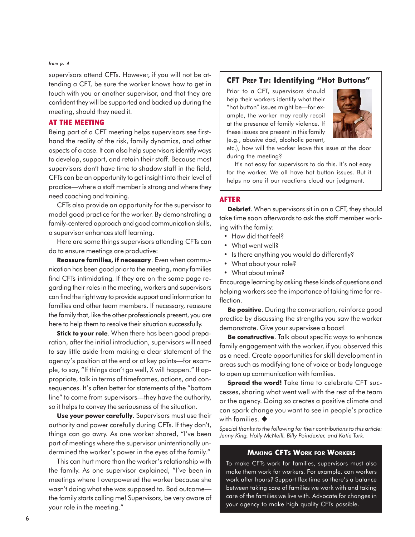#### *from p. 4*

supervisors attend CFTs. However, if you will not be attending a CFT, be sure the worker knows how to get in touch with you or another supervisor, and that they are confident they will be supported and backed up during the meeting, should they need it.

## **AT THE MEETING**

Being part of a CFT meeting helps supervisors see firsthand the reality of the risk, family dynamics, and other aspects of a case. It can also help supervisors identify ways to develop, support, and retain their staff. Because most supervisors don't have time to shadow staff in the field, CFTs can be an opportunity to get insight into their level of practice—where a staff member is strong and where they need coaching and training.

CFTs also provide an opportunity for the supervisor to model good practice for the worker. By demonstrating a family-centered approach and good communication skills, a supervisor enhances staff learning.

Here are some things supervisors attending CFTs can do to ensure meetings are productive:

**Reassure families, if necessary**. Even when communication has been good prior to the meeting, many families find CFTs intimidating. If they are on the same page regarding their roles in the meeting, workers and supervisors can find the right way to provide support and information to families and other team members. If necessary, reassure the family that, like the other professionals present, you are here to help them to resolve their situation successfully.

**Stick to your role**. When there has been good preparation, after the initial introduction, supervisors will need to say little aside from making a clear statement of the agency's position at the end or at key points—for example, to say, "If things don't go well, X will happen." If appropriate, talk in terms of timeframes, actions, and consequences. It's often better for statements of the "bottom line" to come from supervisors—they have the authority, so it helps to convey the seriousness of the situation.

**Use your power carefully**. Supervisors must use their authority and power carefully during CFTs. If they don't, things can go awry. As one worker shared, "I've been part of meetings where the supervisor unintentionally undermined the worker's power in the eyes of the family."

This can hurt more than the worker's relationship with the family. As one supervisor explained, "I've been in meetings where I overpowered the worker because she wasn't doing what she was supposed to. Bad outcome the family starts calling me! Supervisors, be very aware of your role in the meeting."

## **CFT PREP TIP: Identifying "Hot Buttons"**

Prior to a CFT, supervisors should help their workers identify what their "hot button" issues might be—for example, the worker may really recoil at the presence of family violence. If these issues are present in this family (e.g., abusive dad, alcoholic parent,



etc.), how will the worker leave this issue at the door during the meeting?

It's not easy for supervisors to do this. It's not easy for the worker. We all have hot button issues. But it helps no one if our reactions cloud our judgment.

#### **AFTER**

**Debrief**. When supervisors sit in on a CFT, they should take time soon afterwards to ask the staff member working with the family:

- How did that feel?
- What went well?
- Is there anything you would do differently?
- What about your role?
- What about mine?

Encourage learning by asking these kinds of questions and helping workers see the importance of taking time for reflection.

**Be positive**. During the conversation, reinforce good practice by discussing the strengths you saw the worker demonstrate. Give your supervisee a boost!

**Be constructive**. Talk about specific ways to enhance family engagement with the worker, if you observed this as a need. Create opportunities for skill development in areas such as modifying tone of voice or body language to open up communication with families.

**Spread the word!** Take time to celebrate CFT successes, sharing what went well with the rest of the team or the agency. Doing so creates a positive climate and can spark change you want to see in people's practice with families  $\triangle$ 

*Special thanks to the following for their contributions to this article: Jenny King, Holly McNeill, Billy Poindexter, and Katie Turk.*

#### **MAKING CFTS WORK FOR WORKERS**

To make CFTs work for families, supervisors must also make them work for workers. For example, can workers work after hours? Support flex time so there's a balance between taking care of families we work with and taking care of the families we live with. Advocate for changes in your agency to make high quality CFTs possible.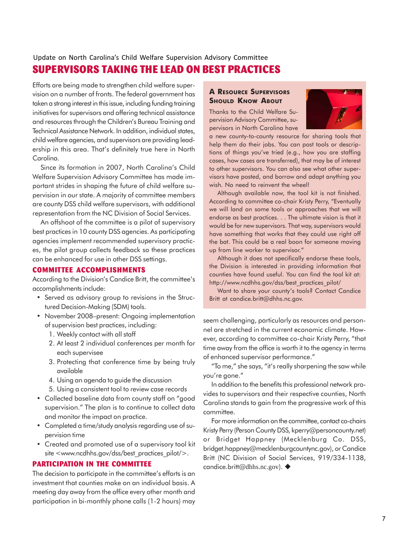## **SUPERVISORS TAKING THE LEAD ON BEST PRACTICES** Update on North Carolina's Child Welfare Supervision Advisory Committee

Efforts are being made to strengthen child welfare supervision on a number of fronts. The federal government has taken a strong interest in this issue, including funding training initiatives for supervisors and offering technical assistance and resources through the Children's Bureau Training and Technical Assistance Network. In addition, individual states, child welfare agencies, and supervisors are providing leadership in this area. That's definitely true here in North Carolina.

Since its formation in 2007, North Carolina's Child Welfare Supervision Advisory Committee has made important strides in shaping the future of child welfare supervision in our state. A majority of committee members are county DSS child welfare supervisors, with additional representation from the NC Division of Social Services.

An offshoot of the committee is a pilot of supervisory best practices in 10 county DSS agencies. As participating agencies implement recommended supervisory practices, the pilot group collects feedback so these practices can be enhanced for use in other DSS settings.

## **COMMITTEE ACCOMPLISHMENTS**

According to the Division's Candice Britt, the committee's accomplishments include:

- Served as advisory group to revisions in the Structured Decision-Making (SDM) tools.
- November 2008–present: Ongoing implementation of supervision best practices, including:
	- 1. Weekly contact with all staff
	- 2. At least 2 individual conferences per month for each supervisee
	- 3. Protecting that conference time by being truly available
	- 4. Using an agenda to guide the discussion
	- 5. Using a consistent tool to review case records
- Collected baseline data from county staff on "good supervision." The plan is to continue to collect data and monitor the impact on practice.
- Completed a time/study analysis regarding use of supervision time
- Created and promoted use of a supervisory tool kit site <www.ncdhhs.gov/dss/best\_practices\_pilot/>.

## **PARTICIPATION IN THE COMMITTEE**

The decision to participate in the committee's efforts is an investment that counties make on an individual basis. A meeting day away from the office every other month and participation in bi-monthly phone calls (1-2 hours) may

## **A RESOURCE SUPERVISORS SHOULD KNOW ABOUT**

Thanks to the Child Welfare Supervision Advisory Committee, supervisors in North Carolina have



a new county-to-county resource for sharing tools that help them do their jobs. You can post tools or descriptions of things you've tried (e.g., how you are staffing cases, how cases are transferred), that may be of interest to other supervisors. You can also see what other supervisors have posted, and borrow and adapt anything you wish. No need to reinvent the wheel!

Although available now, the tool kit is not finished. According to committee co-chair Kristy Perry, "Eventually we will land on some tools or approaches that we will endorse as best practices. . . The ultimate vision is that it would be for new supervisors. That way, supervisors would have something that works that they could use right off the bat. This could be a real boon for someone moving up from line worker to supervisor."

Although it does not specifically endorse these tools, the Division is interested in providing information that counties have found useful. You can find the tool kit at: http://www.ncdhhs.gov/dss/best\_practices\_pilot/

Want to share your county's tools? Contact Candice Britt at candice.britt@dhhs.nc.gov.

seem challenging, particularly as resources and personnel are stretched in the current economic climate. However, according to committee co-chair Kristy Perry, "that time away from the office is worth it to the agency in terms of enhanced supervisor performance."

"To me," she says, "it's really sharpening the saw while you're gone."

In addition to the benefits this professional network provides to supervisors and their respective counties, North Carolina stands to gain from the progressive work of this committee.

For more information on the committee, contact co-chairs Kristy Perry (Person County DSS, kperry@personcounty.net) or Bridget Happney (Mecklenburg Co. DSS, bridget.happney@mecklenburgcountync.gov), or Candice Britt (NC Division of Social Services, 919/334-1138, candice.britt@dhhs.nc.gov). ◆